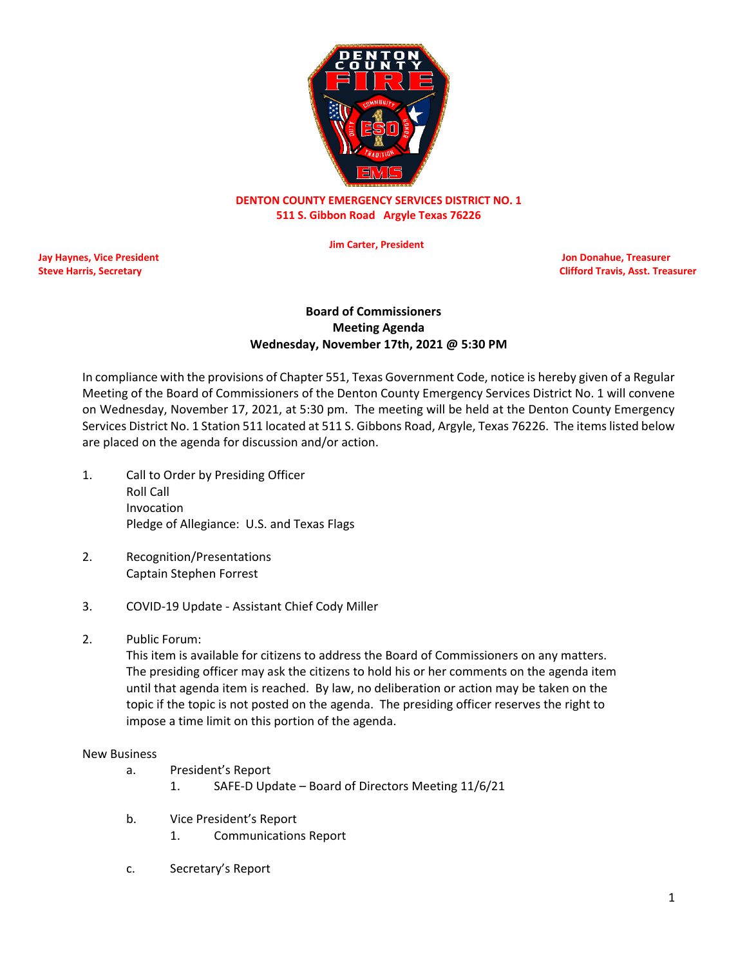

# **DENTON COUNTY EMERGENCY SERVICES DISTRICT NO. 1 511 S. Gibbon Road Argyle Texas 76226**

 **Jim Carter, President**

**Jay Haynes, Vice President Jon Donahue, Treasurer**

**Steve Harris, Secretary Clifford Travis, Asst. Treasurer** Clifford Travis, Asst. Treasurer

## **Board of Commissioners Meeting Agenda Wednesday, November 17th, 2021 @ 5:30 PM**

In compliance with the provisions of Chapter 551, Texas Government Code, notice is hereby given of a Regular Meeting of the Board of Commissioners of the Denton County Emergency Services District No. 1 will convene on Wednesday, November 17, 2021, at 5:30 pm. The meeting will be held at the Denton County Emergency Services District No. 1 Station 511 located at 511 S. Gibbons Road, Argyle, Texas 76226. The items listed below are placed on the agenda for discussion and/or action.

- 1. Call to Order by Presiding Officer Roll Call Invocation Pledge of Allegiance: U.S. and Texas Flags
- 2. Recognition/Presentations Captain Stephen Forrest
- 3. COVID-19 Update Assistant Chief Cody Miller
- 2. Public Forum:

This item is available for citizens to address the Board of Commissioners on any matters. The presiding officer may ask the citizens to hold his or her comments on the agenda item until that agenda item is reached. By law, no deliberation or action may be taken on the topic if the topic is not posted on the agenda. The presiding officer reserves the right to impose a time limit on this portion of the agenda.

#### New Business

- a. President's Report
	- 1. SAFE-D Update Board of Directors Meeting 11/6/21
- b. Vice President's Report
	- 1. Communications Report
- c. Secretary's Report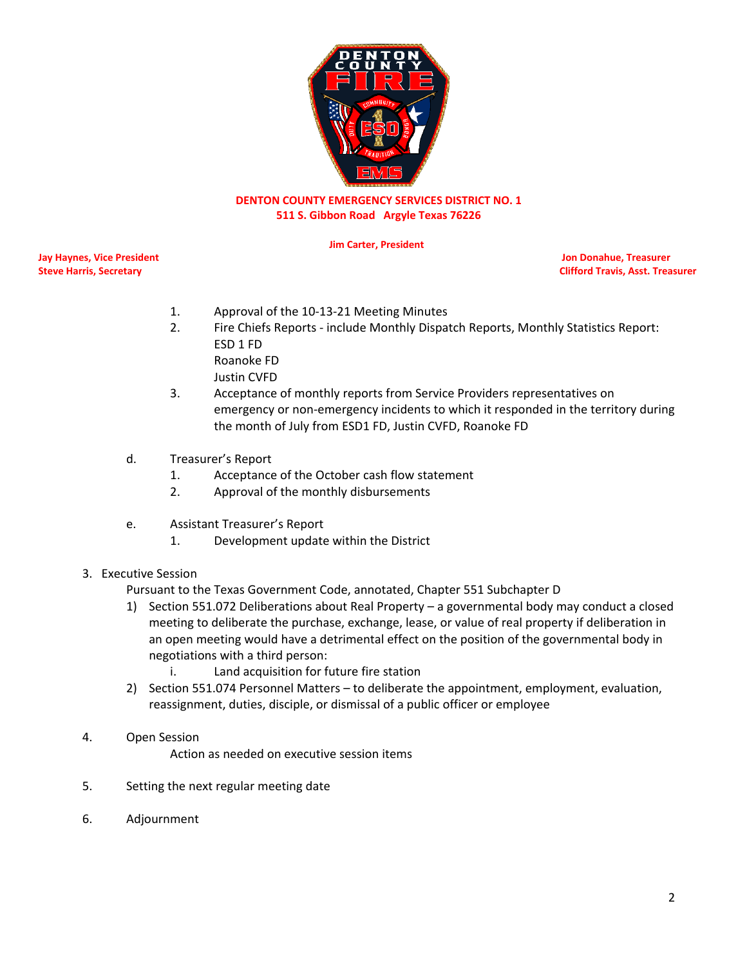

# **DENTON COUNTY EMERGENCY SERVICES DISTRICT NO. 1 511 S. Gibbon Road Argyle Texas 76226**

 **Jim Carter, President**

**Jay Haynes, Vice President Jon Donahue, Treasurer**

**Steve Harris, Secretary Clifford Travis, Asst. Treasurer** Clifford Travis, Asst. Treasurer

- 1. Approval of the 10-13-21 Meeting Minutes
- 2. Fire Chiefs Reports include Monthly Dispatch Reports, Monthly Statistics Report: ESD 1 FD Roanoke FD
	- Justin CVFD
- 3. Acceptance of monthly reports from Service Providers representatives on emergency or non-emergency incidents to which it responded in the territory during the month of July from ESD1 FD, Justin CVFD, Roanoke FD
- d. Treasurer's Report
	- 1. Acceptance of the October cash flow statement
	- 2. Approval of the monthly disbursements
- e. Assistant Treasurer's Report
	- 1. Development update within the District
- 3. Executive Session

Pursuant to the Texas Government Code, annotated, Chapter 551 Subchapter D

- 1) Section 551.072 Deliberations about Real Property a governmental body may conduct a closed meeting to deliberate the purchase, exchange, lease, or value of real property if deliberation in an open meeting would have a detrimental effect on the position of the governmental body in negotiations with a third person:
	- i. Land acquisition for future fire station
- 2) Section 551.074 Personnel Matters to deliberate the appointment, employment, evaluation, reassignment, duties, disciple, or dismissal of a public officer or employee
- 4. Open Session

Action as needed on executive session items

- 5. Setting the next regular meeting date
- 6. Adjournment